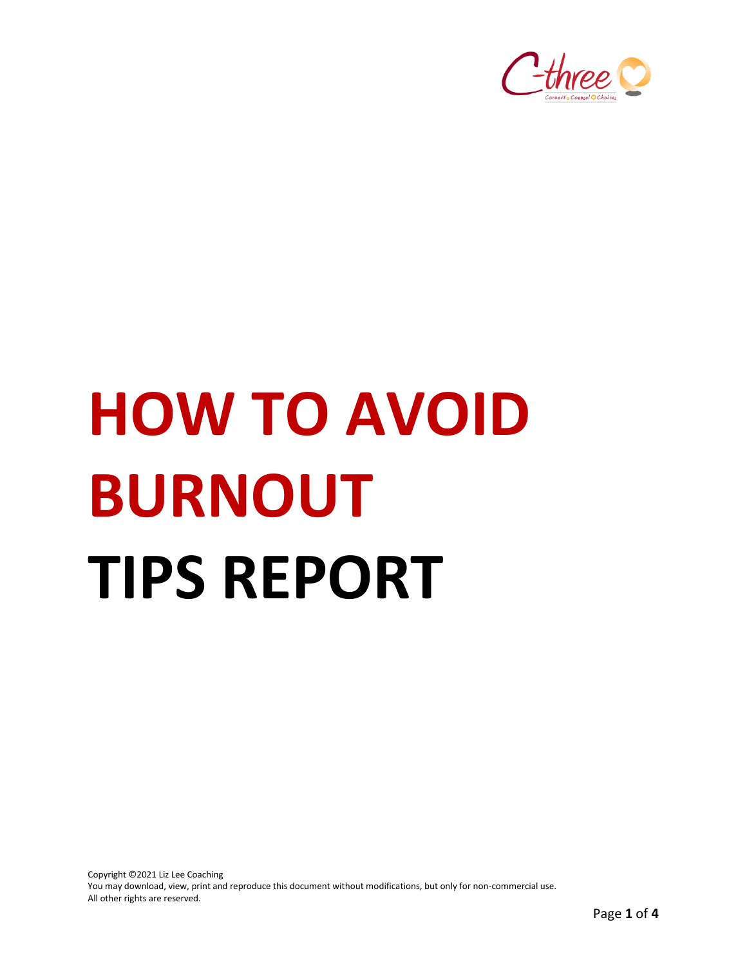

# **HOW TO AVOID BURNOUT TIPS REPORT**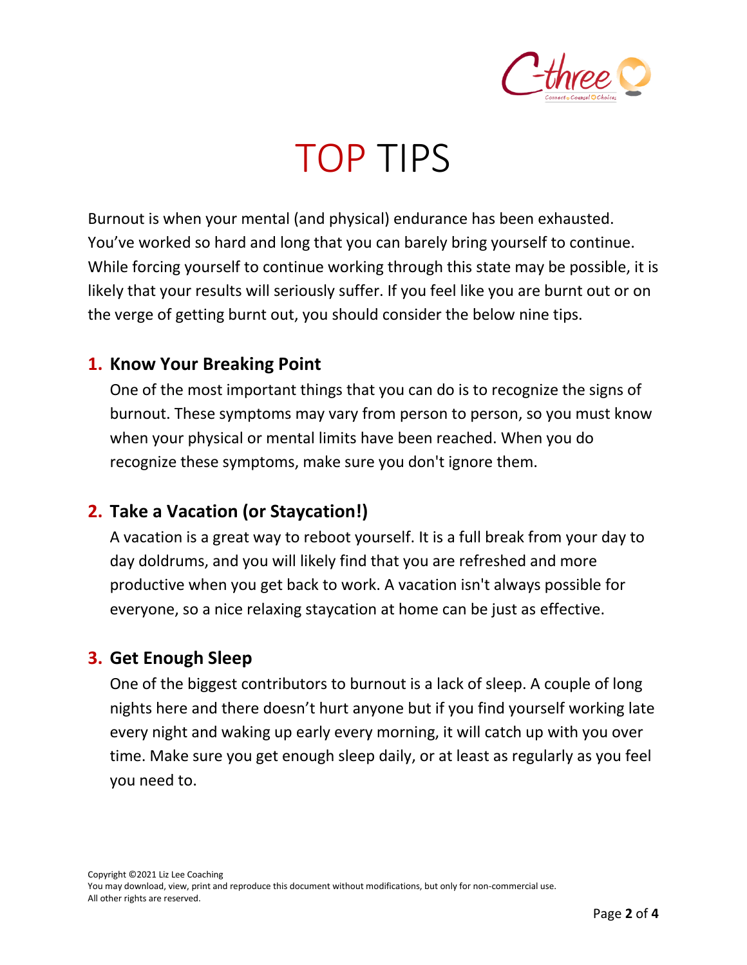

### TOP TIPS

Burnout is when your mental (and physical) endurance has been exhausted. You've worked so hard and long that you can barely bring yourself to continue. While forcing yourself to continue working through this state may be possible, it is likely that your results will seriously suffer. If you feel like you are burnt out or on the verge of getting burnt out, you should consider the below nine tips.

#### **1. Know Your Breaking Point**

One of the most important things that you can do is to recognize the signs of burnout. These symptoms may vary from person to person, so you must know when your physical or mental limits have been reached. When you do recognize these symptoms, make sure you don't ignore them.

#### **2. Take a Vacation (or Staycation!)**

A vacation is a great way to reboot yourself. It is a full break from your day to day doldrums, and you will likely find that you are refreshed and more productive when you get back to work. A vacation isn't always possible for everyone, so a nice relaxing staycation at home can be just as effective.

#### **3. Get Enough Sleep**

One of the biggest contributors to burnout is a lack of sleep. A couple of long nights here and there doesn't hurt anyone but if you find yourself working late every night and waking up early every morning, it will catch up with you over time. Make sure you get enough sleep daily, or at least as regularly as you feel you need to.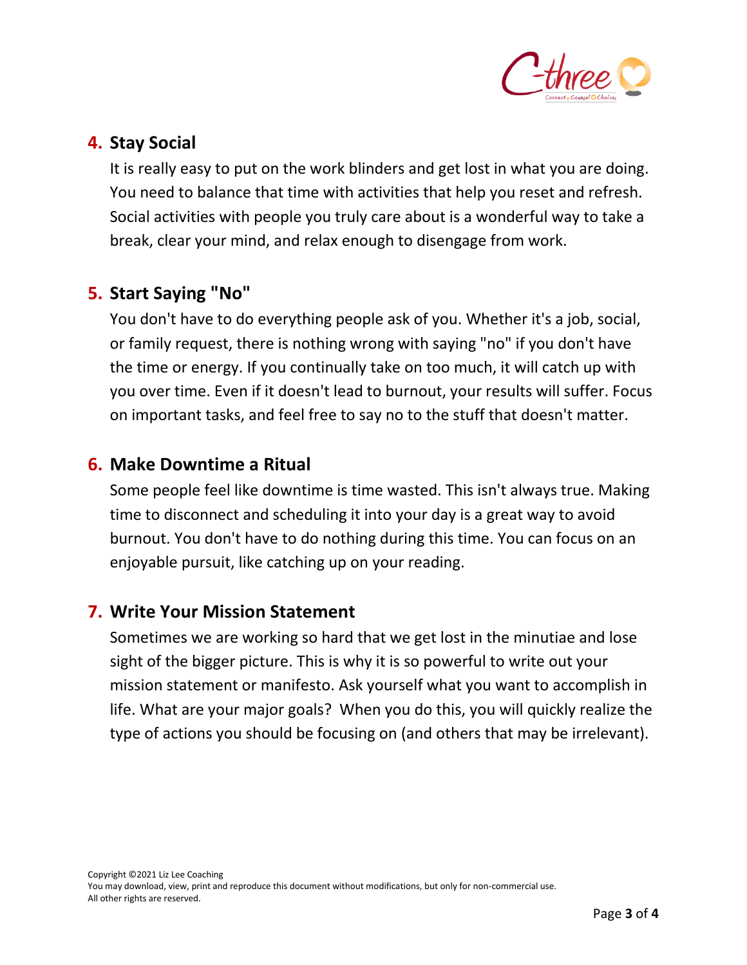

#### **4. Stay Social**

It is really easy to put on the work blinders and get lost in what you are doing. You need to balance that time with activities that help you reset and refresh. Social activities with people you truly care about is a wonderful way to take a break, clear your mind, and relax enough to disengage from work.

#### **5. Start Saying "No"**

You don't have to do everything people ask of you. Whether it's a job, social, or family request, there is nothing wrong with saying "no" if you don't have the time or energy. If you continually take on too much, it will catch up with you over time. Even if it doesn't lead to burnout, your results will suffer. Focus on important tasks, and feel free to say no to the stuff that doesn't matter.

#### **6. Make Downtime a Ritual**

Some people feel like downtime is time wasted. This isn't always true. Making time to disconnect and scheduling it into your day is a great way to avoid burnout. You don't have to do nothing during this time. You can focus on an enjoyable pursuit, like catching up on your reading.

#### **7. Write Your Mission Statement**

Sometimes we are working so hard that we get lost in the minutiae and lose sight of the bigger picture. This is why it is so powerful to write out your mission statement or manifesto. Ask yourself what you want to accomplish in life. What are your major goals? When you do this, you will quickly realize the type of actions you should be focusing on (and others that may be irrelevant).